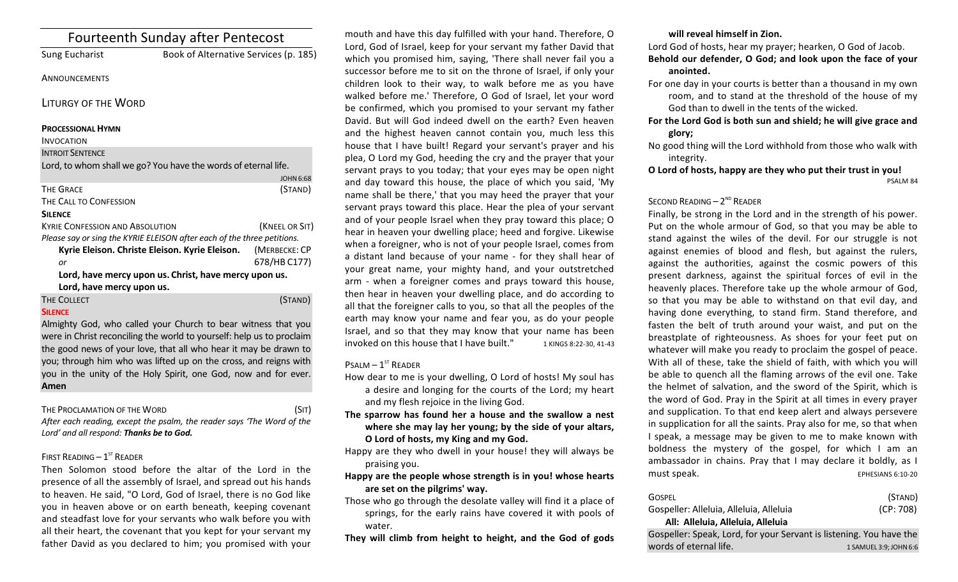| <b>Fourteenth Sunday after Pentecost</b>                                |                                       |                  |
|-------------------------------------------------------------------------|---------------------------------------|------------------|
| Sung Eucharist                                                          | Book of Alternative Services (p. 185) |                  |
| <b>ANNOUNCEMENTS</b>                                                    |                                       |                  |
| <b>LITURGY OF THE WORD</b>                                              |                                       |                  |
| <b>PROCESSIONAL HYMN</b>                                                |                                       |                  |
| <b>INVOCATION</b>                                                       |                                       |                  |
| <b>INTROIT SENTENCE</b>                                                 |                                       |                  |
| Lord, to whom shall we go? You have the words of eternal life.          |                                       |                  |
|                                                                         |                                       | <b>JOHN 6:68</b> |
| <b>THE GRACE</b>                                                        |                                       | (STAND)          |
| THE CALL TO CONFESSION                                                  |                                       |                  |
| <b>SILENCE</b>                                                          |                                       |                  |
| <b>KYRIE CONFESSION AND ABSOLUTION</b>                                  |                                       | (KNEEL OR SIT)   |
| Please say or sing the KYRIE ELEISON after each of the three petitions. |                                       |                  |
| Kyrie Eleison. Christe Eleison. Kyrie Eleison.                          |                                       | (MERBECKE: CP    |
| or                                                                      |                                       | 678/HB C177)     |
| Lord, have mercy upon us. Christ, have mercy upon us.                   |                                       |                  |
| Lord, have mercy upon us.                                               |                                       |                  |
| <b>THE COLLECT</b>                                                      |                                       | (STAND)          |
| <b>SILENCE</b>                                                          |                                       |                  |
| Almighty God, who called your Church to bear witness that you           |                                       |                  |
| were in Christ reconciling the world to yourself: help us to proclaim   |                                       |                  |
| the good news of your love, that all who hear it may be drawn to        |                                       |                  |

you; through him who was lifted up on the cross, and reigns with you in the unity of the Holy Spirit, one God, now and for ever. **Amen**

#### THE PROCLAMATION OF THE WORD (SIT)

After each reading, except the psalm, the reader says 'The Word of the Lord' and all respond: Thanks be to God.

# FIRST READING  $- 1<sup>st</sup>$  READER

Then Solomon stood before the altar of the Lord in the presence of all the assembly of Israel, and spread out his hands to heaven. He said, "O Lord, God of Israel, there is no God like you in heaven above or on earth beneath, keeping covenant and steadfast love for your servants who walk before you with all their heart, the covenant that you kept for your servant my father David as you declared to him; you promised with your

mouth and have this day fulfilled with your hand. Therefore, O Lord, God of Israel, keep for your servant my father David that which you promised him, saying, 'There shall never fail you a successor before me to sit on the throne of Israel, if only your children look to their way, to walk before me as you have walked before me.' Therefore, O God of Israel, let your word be confirmed, which you promised to your servant my father David. But will God indeed dwell on the earth? Even heaven and the highest heaven cannot contain you, much less this house that I have built! Regard your servant's prayer and his plea, O Lord my God, heeding the cry and the prayer that your servant prays to you today; that your eyes may be open night and day toward this house, the place of which you said, 'My name shall be there,' that you may heed the prayer that your servant prays toward this place. Hear the plea of your servant and of your people Israel when they pray toward this place; O hear in heaven your dwelling place; heed and forgive. Likewise when a foreigner, who is not of your people Israel, comes from a distant land because of your name - for they shall hear of your great name, your mighty hand, and your outstretched arm - when a foreigner comes and prays toward this house, then hear in heaven your dwelling place, and do according to all that the foreigner calls to you, so that all the peoples of the earth may know your name and fear you, as do your people Israel, and so that they may know that your name has been invoked on this house that I have built."  $1$  KINGS 8:22-30, 41-43

## $P$ SALM  $-1$ <sup>ST</sup> READER

- How dear to me is your dwelling, O Lord of hosts! My soul has a desire and longing for the courts of the Lord; my heart and my flesh reioice in the living God.
- The sparrow has found her a house and the swallow a nest where she may lay her young; by the side of your altars, **O** Lord of hosts, my King and my God.
- Happy are they who dwell in your house! they will always be praising you.
- Happy are the people whose strength is in you! whose hearts are set on the pilgrims' way.
- Those who go through the desolate valley will find it a place of springs, for the early rains have covered it with pools of water.
- They will climb from height to height, and the God of gods

## will reveal himself in Zion.

Lord God of hosts, hear my prayer; hearken, O God of Jacob.

- Behold our defender, O God; and look upon the face of your **anointed.**
- For one day in your courts is better than a thousand in my own room, and to stand at the threshold of the house of my God than to dwell in the tents of the wicked.
- For the Lord God is both sun and shield; he will give grace and **glory;**
- No good thing will the Lord withhold from those who walk with integrity.

## **O Lord of hosts, happy are they who put their trust in you!** PSALM 84

## SECOND READING  $- 2^{ND}$  READER

Finally, be strong in the Lord and in the strength of his power. Put on the whole armour of God, so that you may be able to stand against the wiles of the devil. For our struggle is not against enemies of blood and flesh, but against the rulers, against the authorities, against the cosmic powers of this present darkness, against the spiritual forces of evil in the heavenly places. Therefore take up the whole armour of God, so that you may be able to withstand on that evil day, and having done everything, to stand firm. Stand therefore, and fasten the belt of truth around your waist, and put on the breastplate of righteousness. As shoes for your feet put on whatever will make you ready to proclaim the gospel of peace. With all of these, take the shield of faith, with which you will be able to quench all the flaming arrows of the evil one. Take the helmet of salvation, and the sword of the Spirit, which is the word of God. Pray in the Spirit at all times in every prayer and supplication. To that end keep alert and always persevere in supplication for all the saints. Pray also for me, so that when I speak, a message may be given to me to make known with boldness the mystery of the gospel, for which I am an ambassador in chains. Pray that I may declare it boldly, as I must speak. The contract of the contract of the episode of the episode episode extends to the episode extends of the episode extends of the episode extends of the episode extends of the episode extends of the episode exten

| GOSPEL                                                              | (STAND)   |
|---------------------------------------------------------------------|-----------|
| Gospeller: Alleluia, Alleluia, Alleluia                             | (CP: 708) |
| All: Alleluia, Alleluia, Alleluia                                   |           |
| Gospeller: Speak, Lord, for your Servant is listening. You have the |           |

words of eternal life. **15 AMUEL 3:9:JOHN6:6** 2:9:JOHN6:6